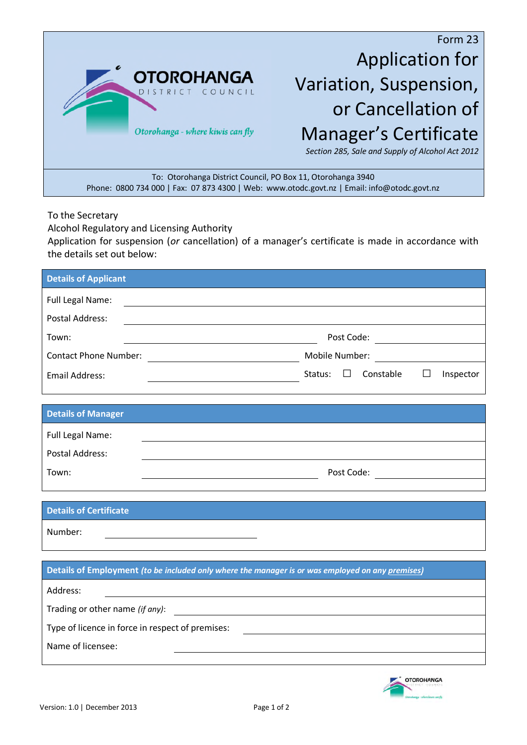

Form 23 Application for Variation, Suspension, or Cancellation of Manager's Certificate

*Section 285, Sale and Supply of Alcohol Act 2012*

To: Otorohanga District Council, PO Box 11, Otorohanga 3940 Phone: 0800 734 000 | Fax: 07 873 4300 | Web: www.otodc.govt.nz | Email: info@otodc.govt.nz

To the Secretary

Alcohol Regulatory and Licensing Authority

Application for suspension (*or* cancellation) of a manager's certificate is made in accordance with the details set out below:

| <b>Details of Applicant</b>                                                                                                    |                                                       |
|--------------------------------------------------------------------------------------------------------------------------------|-------------------------------------------------------|
| Full Legal Name:                                                                                                               |                                                       |
| <b>Postal Address:</b>                                                                                                         |                                                       |
| Town:<br><u> 1980 - Johann Barn, mars ann an t-Amhain Aonaichte ann an t-Aonaichte ann an t-Aonaichte ann an t-Aonaichte a</u> |                                                       |
|                                                                                                                                | Mobile Number:                                        |
| <b>Email Address:</b>                                                                                                          | Status:<br>$\Box$<br>Constable<br>$\Box$<br>Inspector |
|                                                                                                                                |                                                       |
| <b>Details of Manager</b>                                                                                                      |                                                       |
| Full Legal Name:                                                                                                               |                                                       |
| <b>Postal Address:</b>                                                                                                         |                                                       |
| Town:                                                                                                                          | Post Code: <u>_________________</u>                   |
|                                                                                                                                |                                                       |
| <b>Details of Certificate</b>                                                                                                  |                                                       |
| Number:                                                                                                                        |                                                       |
|                                                                                                                                |                                                       |
| Details of Employment (to be included only where the manager is or was employed on any premises)                               |                                                       |
| Address:<br><u> 1989 - Johann Barnett, fransk politiker (d. 1989)</u>                                                          |                                                       |
|                                                                                                                                |                                                       |
| Type of licence in force in respect of premises:                                                                               |                                                       |
| Name of licensee:                                                                                                              |                                                       |
|                                                                                                                                |                                                       |